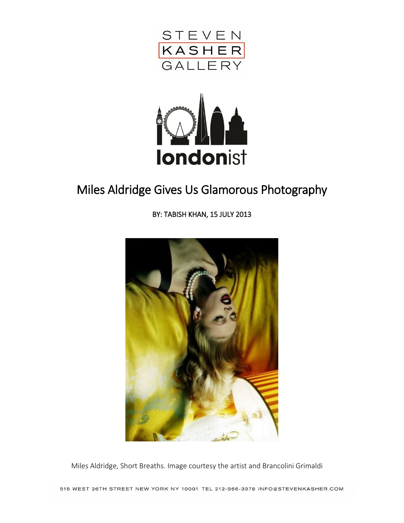



## Miles Aldridge Gives Us Glamorous Photography

BY: [TABISH KHAN,](http://londonist.com/contributors/tabish-khan) 15 JULY 2013



Miles Aldridge, Short Breaths. Image courtesy the artist and Brancolini Grimaldi

515 WEST 26TH STREET NEW YORK NY 10001 TEL 212-966-3978 INFO@STEVENKASHER.COM